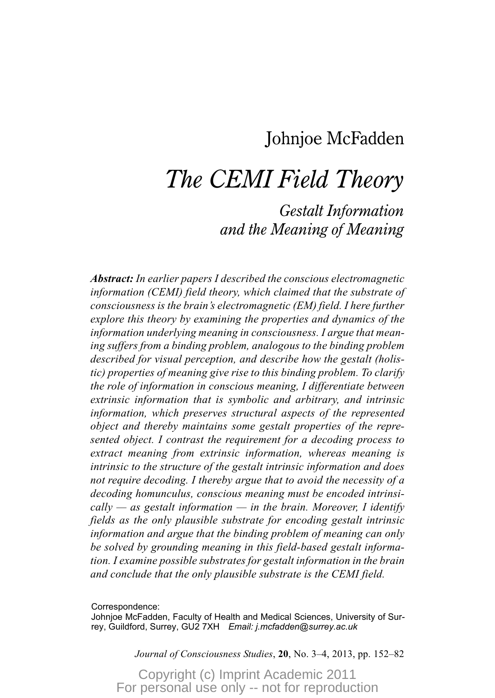## Johnjoe McFadden

## *The CEMI Field Theory*

### *Gestalt Information and the Meaning of Meaning*

*Abstract: In earlier papers I described the conscious electromagnetic information (CEMI) field theory, which claimed that the substrate of consciousness is the brain's electromagnetic (EM) field. I here further explore this theory by examining the properties and dynamics of the information underlying meaning in consciousness. I argue that meaning suffers from a binding problem, analogous to the binding problem described for visual perception, and describe how the gestalt (holistic) properties of meaning give rise to this binding problem. To clarify the role of information in conscious meaning, I differentiate between extrinsic information that is symbolic and arbitrary, and intrinsic information, which preserves structural aspects of the represented object and thereby maintains some gestalt properties of the represented object. I contrast the requirement for a decoding process to extract meaning from extrinsic information, whereas meaning is intrinsic to the structure of the gestalt intrinsic information and does not require decoding. I thereby argue that to avoid the necessity of a decoding homunculus, conscious meaning must be encoded intrinsically — as gestalt information — in the brain. Moreover, I identify fields as the only plausible substrate for encoding gestalt intrinsic information and argue that the binding problem of meaning can only be solved by grounding meaning in this field-based gestalt information. I examine possible substrates for gestalt information in the brain and conclude that the only plausible substrate is the CEMI field.*

Correspondence:

Johnjoe McFadden, Faculty of Health and Medical Sciences, University of Surrey, Guildford, Surrey, GU2 7XH *Email: j.mcfadden@surrey.ac.uk*

*Journal of Consciousness Studies*, **20**, No. 3–4, 2013, pp. 152–82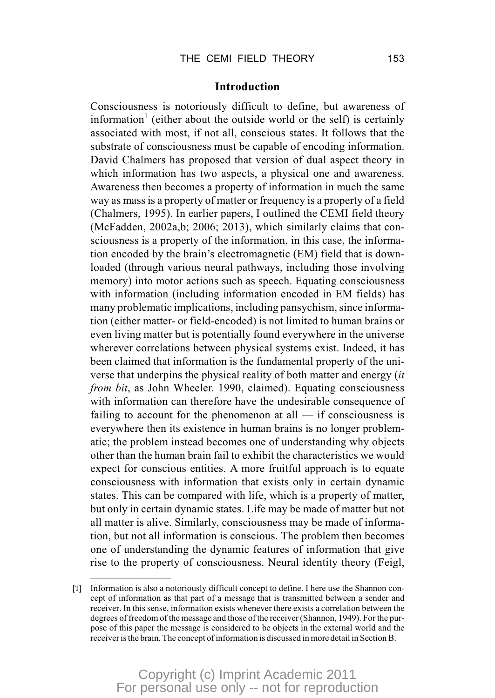#### **Introduction**

Consciousness is notoriously difficult to define, but awareness of information<sup>1</sup> (either about the outside world or the self) is certainly associated with most, if not all, conscious states. It follows that the substrate of consciousness must be capable of encoding information. David Chalmers has proposed that version of dual aspect theory in which information has two aspects, a physical one and awareness. Awareness then becomes a property of information in much the same way as mass is a property of matter or frequency is a property of a field (Chalmers, 1995). In earlier papers, I outlined the CEMI field theory (McFadden, 2002a,b; 2006; 2013), which similarly claims that consciousness is a property of the information, in this case, the information encoded by the brain's electromagnetic (EM) field that is downloaded (through various neural pathways, including those involving memory) into motor actions such as speech. Equating consciousness with information (including information encoded in EM fields) has many problematic implications, including pansychism, since information (either matter- or field-encoded) is not limited to human brains or even living matter but is potentially found everywhere in the universe wherever correlations between physical systems exist. Indeed, it has been claimed that information is the fundamental property of the universe that underpins the physical reality of both matter and energy (*it from bit*, as John Wheeler. 1990, claimed). Equating consciousness with information can therefore have the undesirable consequence of failing to account for the phenomenon at all — if consciousness is everywhere then its existence in human brains is no longer problematic; the problem instead becomes one of understanding why objects other than the human brain fail to exhibit the characteristics we would expect for conscious entities. A more fruitful approach is to equate consciousness with information that exists only in certain dynamic states. This can be compared with life, which is a property of matter, but only in certain dynamic states. Life may be made of matter but not all matter is alive. Similarly, consciousness may be made of information, but not all information is conscious. The problem then becomes one of understanding the dynamic features of information that give rise to the property of consciousness. Neural identity theory (Feigl,

<sup>[1]</sup> Information is also a notoriously difficult concept to define. I here use the Shannon concept of information as that part of a message that is transmitted between a sender and receiver. In this sense, information exists whenever there exists a correlation between the degrees of freedom of the message and those of the receiver (Shannon, 1949). For the purpose of this paper the message is considered to be objects in the external world and the receiver is the brain. The concept of information is discussed in more detail in Section B.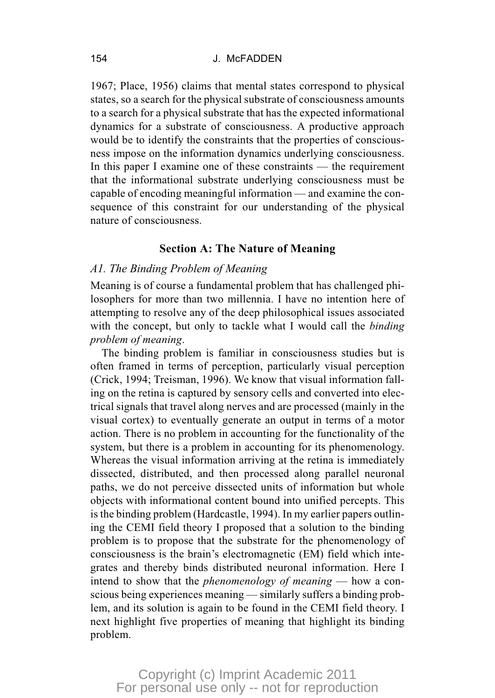1967; Place, 1956) claims that mental states correspond to physical states, so a search for the physical substrate of consciousness amounts to a search for a physical substrate that has the expected informational dynamics for a substrate of consciousness. A productive approach would be to identify the constraints that the properties of consciousness impose on the information dynamics underlying consciousness. In this paper I examine one of these constraints — the requirement that the informational substrate underlying consciousness must be capable of encoding meaningful information — and examine the consequence of this constraint for our understanding of the physical nature of consciousness.

#### **Section A: The Nature of Meaning**

#### *A1. The Binding Problem of Meaning*

Meaning is of course a fundamental problem that has challenged philosophers for more than two millennia. I have no intention here of attempting to resolve any of the deep philosophical issues associated with the concept, but only to tackle what I would call the *binding problem of meaning*.

The binding problem is familiar in consciousness studies but is often framed in terms of perception, particularly visual perception (Crick, 1994; Treisman, 1996). We know that visual information falling on the retina is captured by sensory cells and converted into electrical signals that travel along nerves and are processed (mainly in the visual cortex) to eventually generate an output in terms of a motor action. There is no problem in accounting for the functionality of the system, but there is a problem in accounting for its phenomenology. Whereas the visual information arriving at the retina is immediately dissected, distributed, and then processed along parallel neuronal paths, we do not perceive dissected units of information but whole objects with informational content bound into unified percepts. This is the binding problem (Hardcastle, 1994). In my earlier papers outlining the CEMI field theory I proposed that a solution to the binding problem is to propose that the substrate for the phenomenology of consciousness is the brain's electromagnetic (EM) field which integrates and thereby binds distributed neuronal information. Here I intend to show that the *phenomenology of meaning* — how a conscious being experiences meaning — similarly suffers a binding problem, and its solution is again to be found in the CEMI field theory. I next highlight five properties of meaning that highlight its binding problem.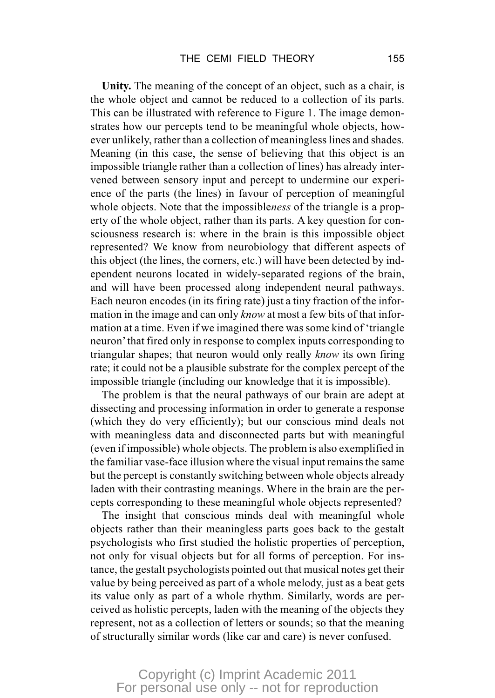**Unity.** The meaning of the concept of an object, such as a chair, is the whole object and cannot be reduced to a collection of its parts. This can be illustrated with reference to Figure 1. The image demonstrates how our percepts tend to be meaningful whole objects, however unlikely, rather than a collection of meaningless lines and shades. Meaning (in this case, the sense of believing that this object is an impossible triangle rather than a collection of lines) has already intervened between sensory input and percept to undermine our experience of the parts (the lines) in favour of perception of meaningful whole objects. Note that the impossible*ness* of the triangle is a property of the whole object, rather than its parts. A key question for consciousness research is: where in the brain is this impossible object represented? We know from neurobiology that different aspects of this object (the lines, the corners, etc.) will have been detected by independent neurons located in widely-separated regions of the brain, and will have been processed along independent neural pathways. Each neuron encodes (in its firing rate) just a tiny fraction of the information in the image and can only *know* at most a few bits of that information at a time. Even if we imagined there was some kind of 'triangle neuron'that fired only in response to complex inputs corresponding to triangular shapes; that neuron would only really *know* its own firing rate; it could not be a plausible substrate for the complex percept of the impossible triangle (including our knowledge that it is impossible).

The problem is that the neural pathways of our brain are adept at dissecting and processing information in order to generate a response (which they do very efficiently); but our conscious mind deals not with meaningless data and disconnected parts but with meaningful (even if impossible) whole objects. The problem is also exemplified in the familiar vase-face illusion where the visual input remains the same but the percept is constantly switching between whole objects already laden with their contrasting meanings. Where in the brain are the percepts corresponding to these meaningful whole objects represented?

The insight that conscious minds deal with meaningful whole objects rather than their meaningless parts goes back to the gestalt psychologists who first studied the holistic properties of perception, not only for visual objects but for all forms of perception. For instance, the gestalt psychologists pointed out that musical notes get their value by being perceived as part of a whole melody, just as a beat gets its value only as part of a whole rhythm. Similarly, words are perceived as holistic percepts, laden with the meaning of the objects they represent, not as a collection of letters or sounds; so that the meaning of structurally similar words (like car and care) is never confused.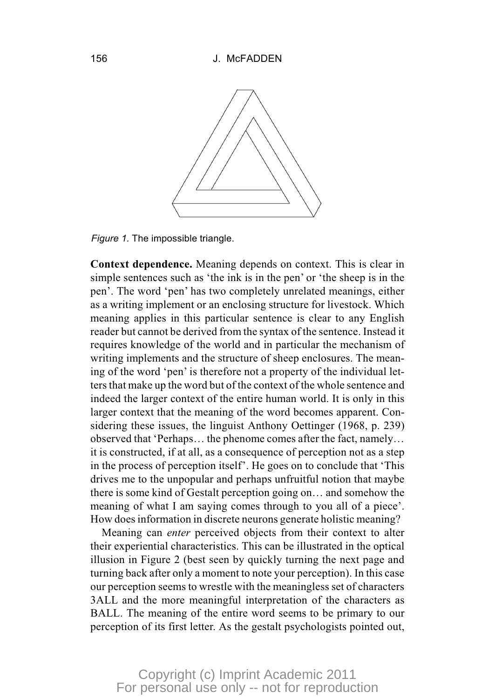

*Figure 1.* The impossible triangle.

**Context dependence.** Meaning depends on context. This is clear in simple sentences such as 'the ink is in the pen' or 'the sheep is in the pen'. The word 'pen' has two completely unrelated meanings, either as a writing implement or an enclosing structure for livestock. Which meaning applies in this particular sentence is clear to any English reader but cannot be derived from the syntax of the sentence. Instead it requires knowledge of the world and in particular the mechanism of writing implements and the structure of sheep enclosures. The meaning of the word 'pen' is therefore not a property of the individual letters that make up the word but of the context of the whole sentence and indeed the larger context of the entire human world. It is only in this larger context that the meaning of the word becomes apparent. Considering these issues, the linguist Anthony Oettinger (1968, p. 239) observed that 'Perhaps… the phenome comes after the fact, namely… it is constructed, if at all, as a consequence of perception not as a step in the process of perception itself'. He goes on to conclude that 'This drives me to the unpopular and perhaps unfruitful notion that maybe there is some kind of Gestalt perception going on… and somehow the meaning of what I am saying comes through to you all of a piece'. How does information in discrete neurons generate holistic meaning?

Meaning can *enter* perceived objects from their context to alter their experiential characteristics. This can be illustrated in the optical illusion in Figure 2 (best seen by quickly turning the next page and turning back after only a moment to note your perception). In this case our perception seems to wrestle with the meaningless set of characters 3ALL and the more meaningful interpretation of the characters as BALL. The meaning of the entire word seems to be primary to our perception of its first letter. As the gestalt psychologists pointed out,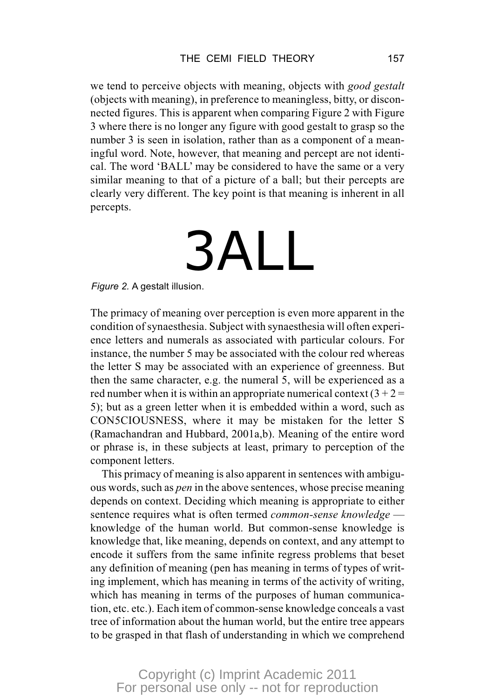we tend to perceive objects with meaning, objects with *good gestalt* (objects with meaning), in preference to meaningless, bitty, or disconnected figures. This is apparent when comparing Figure 2 with Figure 3 where there is no longer any figure with good gestalt to grasp so the number 3 is seen in isolation, rather than as a component of a meaningful word. Note, however, that meaning and percept are not identical. The word 'BALL' may be considered to have the same or a very similar meaning to that of a picture of a ball; but their percepts are clearly very different. The key point is that meaning is inherent in all percepts.

## 3ALL

*Figure 2.* A gestalt illusion.

The primacy of meaning over perception is even more apparent in the condition of synaesthesia. Subject with synaesthesia will often experience letters and numerals as associated with particular colours. For instance, the number 5 may be associated with the colour red whereas the letter S may be associated with an experience of greenness. But then the same character, e.g. the numeral 5, will be experienced as a red number when it is within an appropriate numerical context  $(3 + 2 =$ 5); but as a green letter when it is embedded within a word, such as CON5CIOUSNESS, where it may be mistaken for the letter S (Ramachandran and Hubbard, 2001a,b). Meaning of the entire word or phrase is, in these subjects at least, primary to perception of the component letters.

This primacy of meaning is also apparent in sentences with ambiguous words, such as *pen* in the above sentences, whose precise meaning depends on context. Deciding which meaning is appropriate to either sentence requires what is often termed *common-sense knowledge* knowledge of the human world. But common-sense knowledge is knowledge that, like meaning, depends on context, and any attempt to encode it suffers from the same infinite regress problems that beset any definition of meaning (pen has meaning in terms of types of writing implement, which has meaning in terms of the activity of writing, which has meaning in terms of the purposes of human communication, etc. etc.). Each item of common-sense knowledge conceals a vast tree of information about the human world, but the entire tree appears to be grasped in that flash of understanding in which we comprehend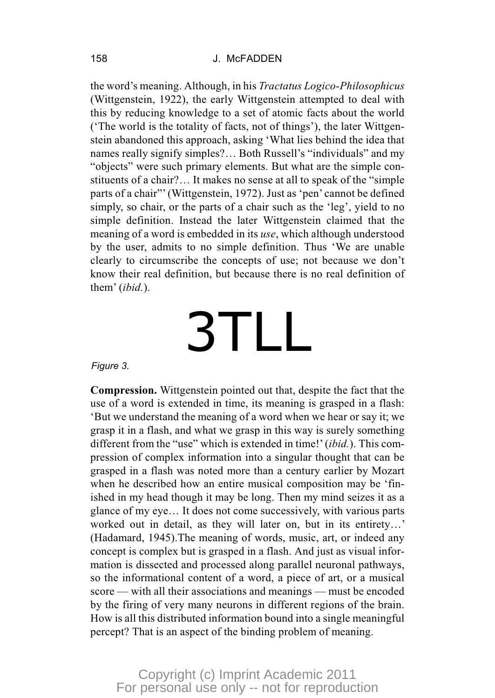#### 158 J. McFADDEN

the word's meaning. Although, in his *Tractatus Logico-Philosophicus* (Wittgenstein, 1922), the early Wittgenstein attempted to deal with this by reducing knowledge to a set of atomic facts about the world ('The world is the totality of facts, not of things'), the later Wittgenstein abandoned this approach, asking 'What lies behind the idea that names really signify simples?… Both Russell's "individuals" and my "objects" were such primary elements. But what are the simple constituents of a chair?… It makes no sense at all to speak of the "simple parts of a chair"' (Wittgenstein, 1972). Just as 'pen' cannot be defined simply, so chair, or the parts of a chair such as the 'leg', yield to no simple definition. Instead the later Wittgenstein claimed that the meaning of a word is embedded in its *use*, which although understood by the user, admits to no simple definition. Thus 'We are unable clearly to circumscribe the concepts of use; not because we don't know their real definition, but because there is no real definition of them' (*ibid.*).

# 3TLL

#### *Figure 3.*

**Compression.** Wittgenstein pointed out that, despite the fact that the use of a word is extended in time, its meaning is grasped in a flash: 'But we understand the meaning of a word when we hear or say it; we grasp it in a flash, and what we grasp in this way is surely something different from the "use" which is extended in time!' (*ibid.*). This compression of complex information into a singular thought that can be grasped in a flash was noted more than a century earlier by Mozart when he described how an entire musical composition may be 'finished in my head though it may be long. Then my mind seizes it as a glance of my eye… It does not come successively, with various parts worked out in detail, as they will later on, but in its entirety…' (Hadamard, 1945).The meaning of words, music, art, or indeed any concept is complex but is grasped in a flash. And just as visual information is dissected and processed along parallel neuronal pathways, so the informational content of a word, a piece of art, or a musical score — with all their associations and meanings — must be encoded by the firing of very many neurons in different regions of the brain. How is all this distributed information bound into a single meaningful percept? That is an aspect of the binding problem of meaning.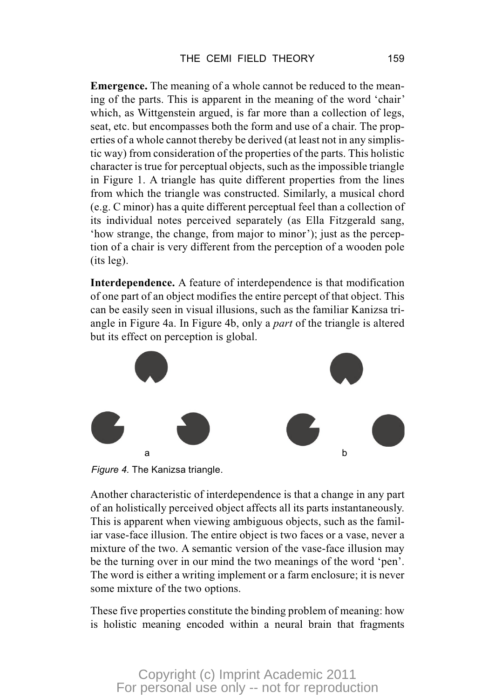**Emergence.** The meaning of a whole cannot be reduced to the meaning of the parts. This is apparent in the meaning of the word 'chair' which, as Wittgenstein argued, is far more than a collection of legs, seat, etc. but encompasses both the form and use of a chair. The properties of a whole cannot thereby be derived (at least not in any simplistic way) from consideration of the properties of the parts. This holistic character is true for perceptual objects, such as the impossible triangle in Figure 1. A triangle has quite different properties from the lines from which the triangle was constructed. Similarly, a musical chord (e.g. C minor) has a quite different perceptual feel than a collection of its individual notes perceived separately (as Ella Fitzgerald sang, 'how strange, the change, from major to minor'); just as the perception of a chair is very different from the perception of a wooden pole (its leg).

**Interdependence.** A feature of interdependence is that modification of one part of an object modifies the entire percept of that object. This can be easily seen in visual illusions, such as the familiar Kanizsa triangle in Figure 4a. In Figure 4b, only a *part* of the triangle is altered but its effect on perception is global.



*Figure 4.* The Kanizsa triangle.

Another characteristic of interdependence is that a change in any part of an holistically perceived object affects all its parts instantaneously. This is apparent when viewing ambiguous objects, such as the familiar vase-face illusion. The entire object is two faces or a vase, never a mixture of the two. A semantic version of the vase-face illusion may be the turning over in our mind the two meanings of the word 'pen'. The word is either a writing implement or a farm enclosure; it is never some mixture of the two options.

These five properties constitute the binding problem of meaning: how is holistic meaning encoded within a neural brain that fragments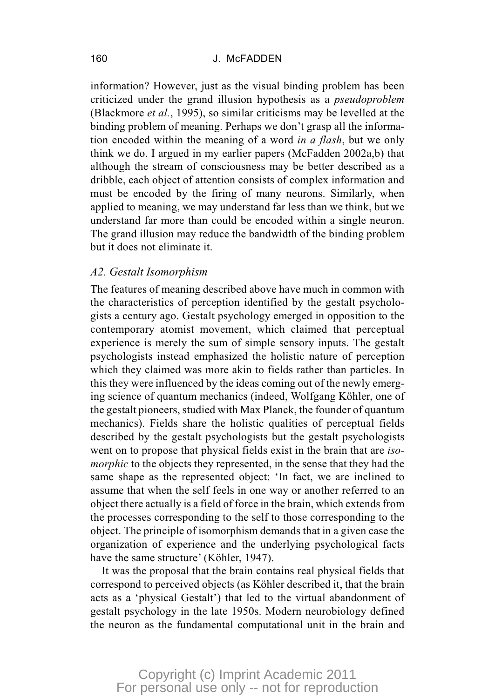information? However, just as the visual binding problem has been criticized under the grand illusion hypothesis as a *pseudoproblem* (Blackmore *et al.*, 1995), so similar criticisms may be levelled at the binding problem of meaning. Perhaps we don't grasp all the information encoded within the meaning of a word *in a flash*, but we only think we do. I argued in my earlier papers (McFadden 2002a,b) that although the stream of consciousness may be better described as a dribble, each object of attention consists of complex information and must be encoded by the firing of many neurons. Similarly, when applied to meaning, we may understand far less than we think, but we understand far more than could be encoded within a single neuron. The grand illusion may reduce the bandwidth of the binding problem but it does not eliminate it.

#### *A2. Gestalt Isomorphism*

The features of meaning described above have much in common with the characteristics of perception identified by the gestalt psychologists a century ago. Gestalt psychology emerged in opposition to the contemporary atomist movement, which claimed that perceptual experience is merely the sum of simple sensory inputs. The gestalt psychologists instead emphasized the holistic nature of perception which they claimed was more akin to fields rather than particles. In this they were influenced by the ideas coming out of the newly emerging science of quantum mechanics (indeed, Wolfgang Köhler, one of the gestalt pioneers, studied with Max Planck, the founder of quantum mechanics). Fields share the holistic qualities of perceptual fields described by the gestalt psychologists but the gestalt psychologists went on to propose that physical fields exist in the brain that are *isomorphic* to the objects they represented, in the sense that they had the same shape as the represented object: 'In fact, we are inclined to assume that when the self feels in one way or another referred to an object there actually is a field of force in the brain, which extends from the processes corresponding to the self to those corresponding to the object. The principle of isomorphism demands that in a given case the organization of experience and the underlying psychological facts have the same structure' (Köhler, 1947).

It was the proposal that the brain contains real physical fields that correspond to perceived objects (as Köhler described it, that the brain acts as a 'physical Gestalt') that led to the virtual abandonment of gestalt psychology in the late 1950s. Modern neurobiology defined the neuron as the fundamental computational unit in the brain and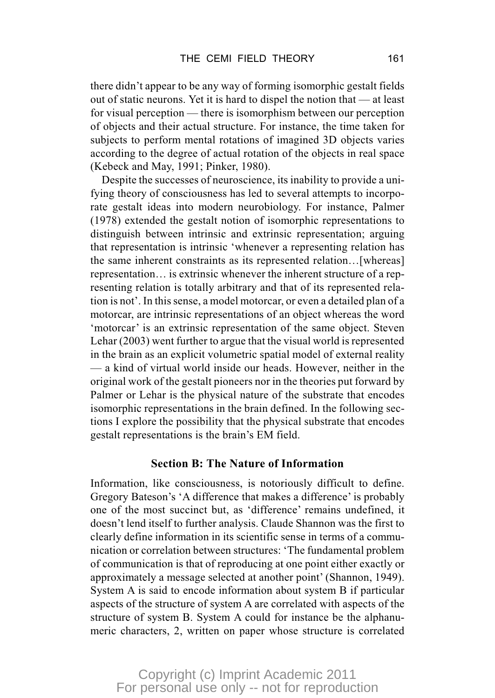there didn't appear to be any way of forming isomorphic gestalt fields out of static neurons. Yet it is hard to dispel the notion that — at least for visual perception — there is isomorphism between our perception of objects and their actual structure. For instance, the time taken for subjects to perform mental rotations of imagined 3D objects varies according to the degree of actual rotation of the objects in real space (Kebeck and May, 1991; Pinker, 1980).

Despite the successes of neuroscience, its inability to provide a unifying theory of consciousness has led to several attempts to incorporate gestalt ideas into modern neurobiology. For instance, Palmer (1978) extended the gestalt notion of isomorphic representations to distinguish between intrinsic and extrinsic representation; arguing that representation is intrinsic 'whenever a representing relation has the same inherent constraints as its represented relation…[whereas] representation… is extrinsic whenever the inherent structure of a representing relation is totally arbitrary and that of its represented relation is not'. In this sense, a model motorcar, or even a detailed plan of a motorcar, are intrinsic representations of an object whereas the word 'motorcar' is an extrinsic representation of the same object. Steven Lehar (2003) went further to argue that the visual world is represented in the brain as an explicit volumetric spatial model of external reality — a kind of virtual world inside our heads. However, neither in the original work of the gestalt pioneers nor in the theories put forward by Palmer or Lehar is the physical nature of the substrate that encodes isomorphic representations in the brain defined. In the following sections I explore the possibility that the physical substrate that encodes gestalt representations is the brain's EM field.

#### **Section B: The Nature of Information**

Information, like consciousness, is notoriously difficult to define. Gregory Bateson's 'A difference that makes a difference' is probably one of the most succinct but, as 'difference' remains undefined, it doesn't lend itself to further analysis. Claude Shannon was the first to clearly define information in its scientific sense in terms of a communication or correlation between structures: 'The fundamental problem of communication is that of reproducing at one point either exactly or approximately a message selected at another point' (Shannon, 1949). System A is said to encode information about system B if particular aspects of the structure of system A are correlated with aspects of the structure of system B. System A could for instance be the alphanumeric characters, 2, written on paper whose structure is correlated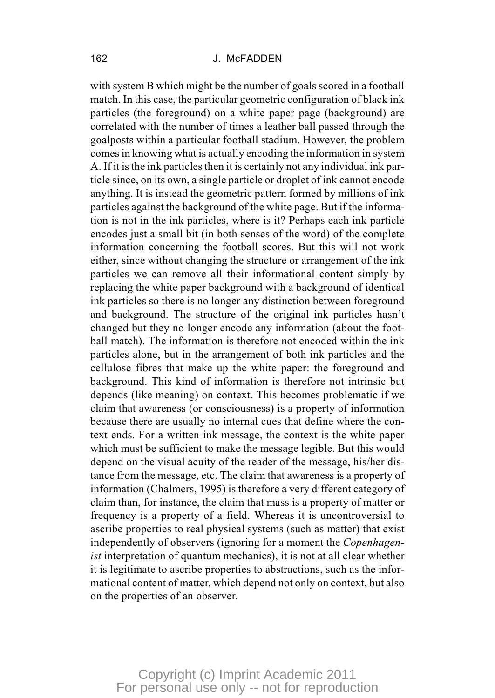with system B which might be the number of goals scored in a football match. In this case, the particular geometric configuration of black ink particles (the foreground) on a white paper page (background) are correlated with the number of times a leather ball passed through the goalposts within a particular football stadium. However, the problem comes in knowing what is actually encoding the information in system A. If it is the ink particles then it is certainly not any individual ink particle since, on its own, a single particle or droplet of ink cannot encode anything. It is instead the geometric pattern formed by millions of ink particles against the background of the white page. But if the information is not in the ink particles, where is it? Perhaps each ink particle encodes just a small bit (in both senses of the word) of the complete information concerning the football scores. But this will not work either, since without changing the structure or arrangement of the ink particles we can remove all their informational content simply by replacing the white paper background with a background of identical ink particles so there is no longer any distinction between foreground and background. The structure of the original ink particles hasn't changed but they no longer encode any information (about the football match). The information is therefore not encoded within the ink particles alone, but in the arrangement of both ink particles and the cellulose fibres that make up the white paper: the foreground and background. This kind of information is therefore not intrinsic but depends (like meaning) on context. This becomes problematic if we claim that awareness (or consciousness) is a property of information because there are usually no internal cues that define where the context ends. For a written ink message, the context is the white paper which must be sufficient to make the message legible. But this would depend on the visual acuity of the reader of the message, his/her distance from the message, etc. The claim that awareness is a property of information (Chalmers, 1995) is therefore a very different category of claim than, for instance, the claim that mass is a property of matter or frequency is a property of a field. Whereas it is uncontroversial to ascribe properties to real physical systems (such as matter) that exist independently of observers (ignoring for a moment the *Copenhagenist* interpretation of quantum mechanics), it is not at all clear whether it is legitimate to ascribe properties to abstractions, such as the informational content of matter, which depend not only on context, but also on the properties of an observer.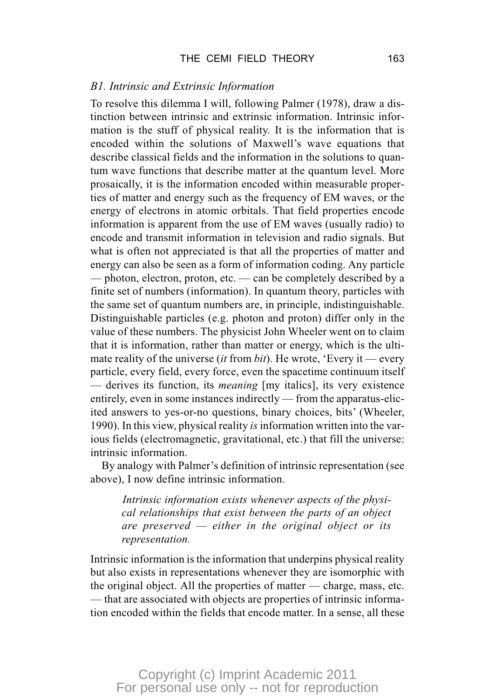#### *B1. Intrinsic and Extrinsic Information*

To resolve this dilemma I will, following Palmer (1978), draw a distinction between intrinsic and extrinsic information. Intrinsic information is the stuff of physical reality. It is the information that is encoded within the solutions of Maxwell's wave equations that describe classical fields and the information in the solutions to quantum wave functions that describe matter at the quantum level. More prosaically, it is the information encoded within measurable properties of matter and energy such as the frequency of EM waves, or the energy of electrons in atomic orbitals. That field properties encode information is apparent from the use of EM waves (usually radio) to encode and transmit information in television and radio signals. But what is often not appreciated is that all the properties of matter and energy can also be seen as a form of information coding. Any particle — photon, electron, proton, etc. — can be completely described by a finite set of numbers (information). In quantum theory, particles with the same set of quantum numbers are, in principle, indistinguishable. Distinguishable particles (e.g. photon and proton) differ only in the value of these numbers. The physicist John Wheeler went on to claim that it is information, rather than matter or energy, which is the ultimate reality of the universe (*it* from *bit*). He wrote, 'Every it — every particle, every field, every force, even the spacetime continuum itself — derives its function, its *meaning* [my italics], its very existence entirely, even in some instances indirectly — from the apparatus-elicited answers to yes-or-no questions, binary choices, bits' (Wheeler, 1990). In this view, physical reality *is*information written into the various fields (electromagnetic, gravitational, etc.) that fill the universe: intrinsic information.

By analogy with Palmer's definition of intrinsic representation (see above), I now define intrinsic information.

*Intrinsic information exists whenever aspects of the physical relationships that exist between the parts of an object are preserved — either in the original object or its representation.*

Intrinsic information is the information that underpins physical reality but also exists in representations whenever they are isomorphic with the original object. All the properties of matter — charge, mass, etc. — that are associated with objects are properties of intrinsic information encoded within the fields that encode matter. In a sense, all these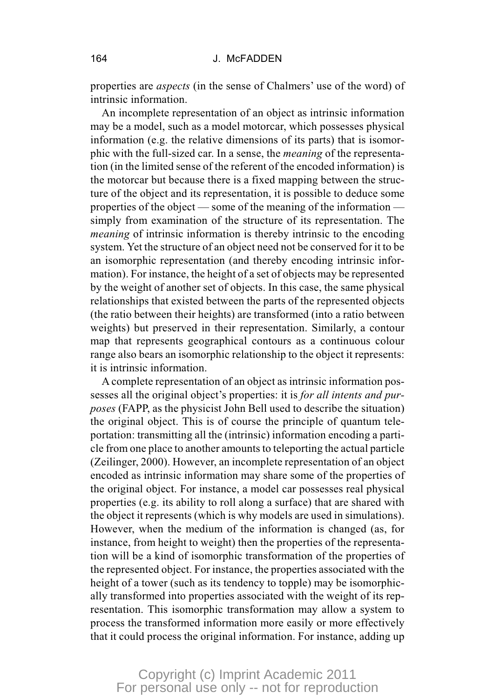properties are *aspects* (in the sense of Chalmers' use of the word) of intrinsic information.

An incomplete representation of an object as intrinsic information may be a model, such as a model motorcar, which possesses physical information (e.g. the relative dimensions of its parts) that is isomorphic with the full-sized car. In a sense, the *meaning* of the representation (in the limited sense of the referent of the encoded information) is the motorcar but because there is a fixed mapping between the structure of the object and its representation, it is possible to deduce some properties of the object — some of the meaning of the information simply from examination of the structure of its representation. The *meaning* of intrinsic information is thereby intrinsic to the encoding system. Yet the structure of an object need not be conserved for it to be an isomorphic representation (and thereby encoding intrinsic information). For instance, the height of a set of objects may be represented by the weight of another set of objects. In this case, the same physical relationships that existed between the parts of the represented objects (the ratio between their heights) are transformed (into a ratio between weights) but preserved in their representation. Similarly, a contour map that represents geographical contours as a continuous colour range also bears an isomorphic relationship to the object it represents: it is intrinsic information.

A complete representation of an object as intrinsic information possesses all the original object's properties: it is *for all intents and purposes* (FAPP, as the physicist John Bell used to describe the situation) the original object. This is of course the principle of quantum teleportation: transmitting all the (intrinsic) information encoding a particle from one place to another amounts to teleporting the actual particle (Zeilinger, 2000). However, an incomplete representation of an object encoded as intrinsic information may share some of the properties of the original object. For instance, a model car possesses real physical properties (e.g. its ability to roll along a surface) that are shared with the object it represents (which is why models are used in simulations). However, when the medium of the information is changed (as, for instance, from height to weight) then the properties of the representation will be a kind of isomorphic transformation of the properties of the represented object. For instance, the properties associated with the height of a tower (such as its tendency to topple) may be isomorphically transformed into properties associated with the weight of its representation. This isomorphic transformation may allow a system to process the transformed information more easily or more effectively that it could process the original information. For instance, adding up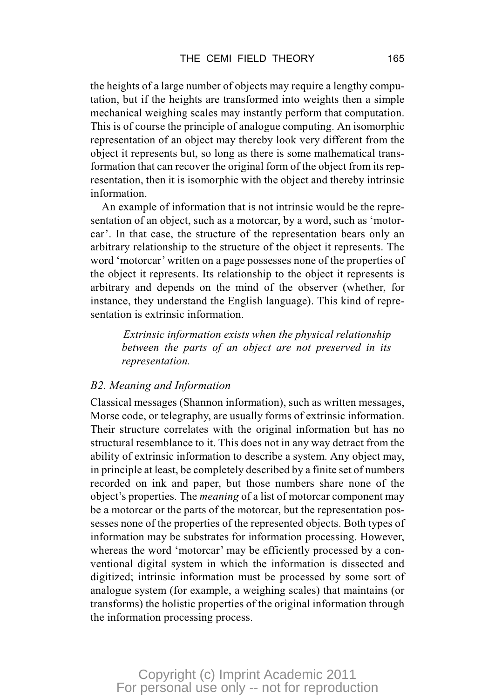the heights of a large number of objects may require a lengthy computation, but if the heights are transformed into weights then a simple mechanical weighing scales may instantly perform that computation. This is of course the principle of analogue computing. An isomorphic representation of an object may thereby look very different from the object it represents but, so long as there is some mathematical transformation that can recover the original form of the object from its representation, then it is isomorphic with the object and thereby intrinsic information.

An example of information that is not intrinsic would be the representation of an object, such as a motorcar, by a word, such as 'motorcar'. In that case, the structure of the representation bears only an arbitrary relationship to the structure of the object it represents. The word 'motorcar' written on a page possesses none of the properties of the object it represents. Its relationship to the object it represents is arbitrary and depends on the mind of the observer (whether, for instance, they understand the English language). This kind of representation is extrinsic information.

*Extrinsic information exists when the physical relationship between the parts of an object are not preserved in its representation.*

#### *B2. Meaning and Information*

Classical messages (Shannon information), such as written messages, Morse code, or telegraphy, are usually forms of extrinsic information. Their structure correlates with the original information but has no structural resemblance to it. This does not in any way detract from the ability of extrinsic information to describe a system. Any object may, in principle at least, be completely described by a finite set of numbers recorded on ink and paper, but those numbers share none of the object's properties. The *meaning* of a list of motorcar component may be a motorcar or the parts of the motorcar, but the representation possesses none of the properties of the represented objects. Both types of information may be substrates for information processing. However, whereas the word 'motorcar' may be efficiently processed by a conventional digital system in which the information is dissected and digitized; intrinsic information must be processed by some sort of analogue system (for example, a weighing scales) that maintains (or transforms) the holistic properties of the original information through the information processing process.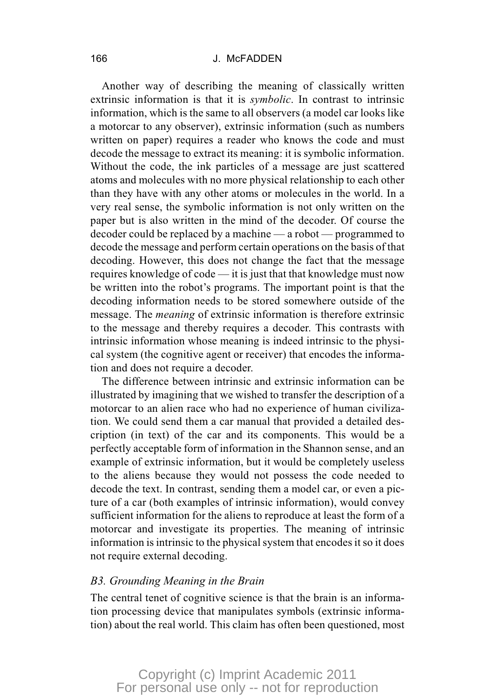#### 166 J. McFADDEN

Another way of describing the meaning of classically written extrinsic information is that it is *symbolic*. In contrast to intrinsic information, which is the same to all observers (a model car looks like a motorcar to any observer), extrinsic information (such as numbers written on paper) requires a reader who knows the code and must decode the message to extract its meaning: it is symbolic information. Without the code, the ink particles of a message are just scattered atoms and molecules with no more physical relationship to each other than they have with any other atoms or molecules in the world. In a very real sense, the symbolic information is not only written on the paper but is also written in the mind of the decoder. Of course the decoder could be replaced by a machine — a robot — programmed to decode the message and perform certain operations on the basis of that decoding. However, this does not change the fact that the message requires knowledge of code — it is just that that knowledge must now be written into the robot's programs. The important point is that the decoding information needs to be stored somewhere outside of the message. The *meaning* of extrinsic information is therefore extrinsic to the message and thereby requires a decoder. This contrasts with intrinsic information whose meaning is indeed intrinsic to the physical system (the cognitive agent or receiver) that encodes the information and does not require a decoder.

The difference between intrinsic and extrinsic information can be illustrated by imagining that we wished to transfer the description of a motorcar to an alien race who had no experience of human civilization. We could send them a car manual that provided a detailed description (in text) of the car and its components. This would be a perfectly acceptable form of information in the Shannon sense, and an example of extrinsic information, but it would be completely useless to the aliens because they would not possess the code needed to decode the text. In contrast, sending them a model car, or even a picture of a car (both examples of intrinsic information), would convey sufficient information for the aliens to reproduce at least the form of a motorcar and investigate its properties. The meaning of intrinsic information is intrinsic to the physical system that encodes it so it does not require external decoding.

#### *B3. Grounding Meaning in the Brain*

The central tenet of cognitive science is that the brain is an information processing device that manipulates symbols (extrinsic information) about the real world. This claim has often been questioned, most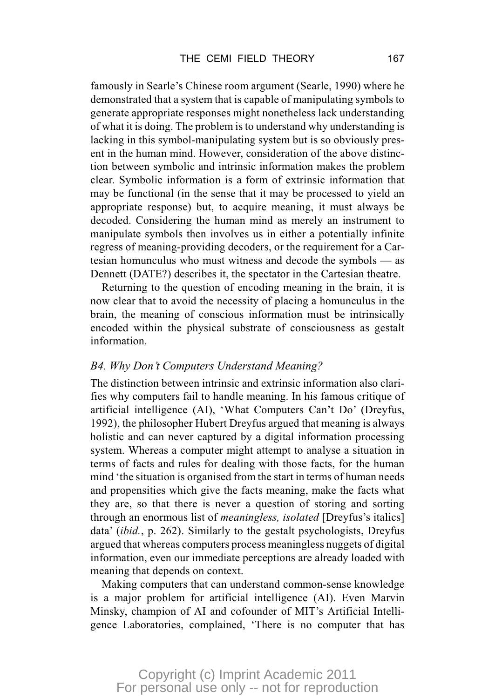famously in Searle's Chinese room argument (Searle, 1990) where he demonstrated that a system that is capable of manipulating symbols to generate appropriate responses might nonetheless lack understanding of what it is doing. The problem is to understand why understanding is lacking in this symbol-manipulating system but is so obviously present in the human mind. However, consideration of the above distinction between symbolic and intrinsic information makes the problem clear. Symbolic information is a form of extrinsic information that may be functional (in the sense that it may be processed to yield an appropriate response) but, to acquire meaning, it must always be decoded. Considering the human mind as merely an instrument to manipulate symbols then involves us in either a potentially infinite regress of meaning-providing decoders, or the requirement for a Cartesian homunculus who must witness and decode the symbols — as Dennett (DATE?) describes it, the spectator in the Cartesian theatre.

Returning to the question of encoding meaning in the brain, it is now clear that to avoid the necessity of placing a homunculus in the brain, the meaning of conscious information must be intrinsically encoded within the physical substrate of consciousness as gestalt information.

#### *B4. Why Don't Computers Understand Meaning?*

The distinction between intrinsic and extrinsic information also clarifies why computers fail to handle meaning. In his famous critique of artificial intelligence (AI), 'What Computers Can't Do' (Dreyfus, 1992), the philosopher Hubert Dreyfus argued that meaning is always holistic and can never captured by a digital information processing system. Whereas a computer might attempt to analyse a situation in terms of facts and rules for dealing with those facts, for the human mind 'the situation is organised from the start in terms of human needs and propensities which give the facts meaning, make the facts what they are, so that there is never a question of storing and sorting through an enormous list of *meaningless, isolated* [Dreyfus's italics] data' (*ibid.*, p. 262). Similarly to the gestalt psychologists, Dreyfus argued that whereas computers process meaningless nuggets of digital information, even our immediate perceptions are already loaded with meaning that depends on context.

Making computers that can understand common-sense knowledge is a major problem for artificial intelligence (AI). Even Marvin Minsky, champion of AI and cofounder of MIT's Artificial Intelligence Laboratories, complained, 'There is no computer that has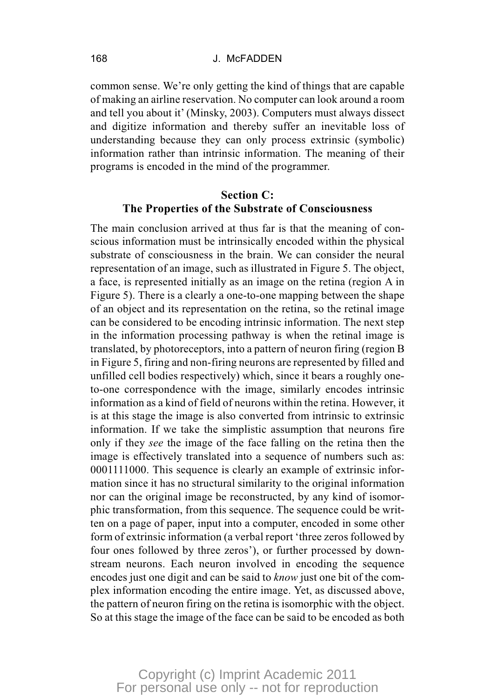#### 168 J. McFADDEN

common sense. We're only getting the kind of things that are capable of making an airline reservation. No computer can look around a room and tell you about it' (Minsky, 2003). Computers must always dissect and digitize information and thereby suffer an inevitable loss of understanding because they can only process extrinsic (symbolic) information rather than intrinsic information. The meaning of their programs is encoded in the mind of the programmer.

#### **Section C: The Properties of the Substrate of Consciousness**

The main conclusion arrived at thus far is that the meaning of conscious information must be intrinsically encoded within the physical substrate of consciousness in the brain. We can consider the neural representation of an image, such as illustrated in Figure 5. The object, a face, is represented initially as an image on the retina (region A in Figure 5). There is a clearly a one-to-one mapping between the shape of an object and its representation on the retina, so the retinal image can be considered to be encoding intrinsic information. The next step in the information processing pathway is when the retinal image is translated, by photoreceptors, into a pattern of neuron firing (region B in Figure 5, firing and non-firing neurons are represented by filled and unfilled cell bodies respectively) which, since it bears a roughly oneto-one correspondence with the image, similarly encodes intrinsic information as a kind of field of neurons within the retina. However, it is at this stage the image is also converted from intrinsic to extrinsic information. If we take the simplistic assumption that neurons fire only if they *see* the image of the face falling on the retina then the image is effectively translated into a sequence of numbers such as: 0001111000. This sequence is clearly an example of extrinsic information since it has no structural similarity to the original information nor can the original image be reconstructed, by any kind of isomorphic transformation, from this sequence. The sequence could be written on a page of paper, input into a computer, encoded in some other form of extrinsic information (a verbal report 'three zeros followed by four ones followed by three zeros'), or further processed by downstream neurons. Each neuron involved in encoding the sequence encodes just one digit and can be said to *know* just one bit of the complex information encoding the entire image. Yet, as discussed above, the pattern of neuron firing on the retina is isomorphic with the object. So at this stage the image of the face can be said to be encoded as both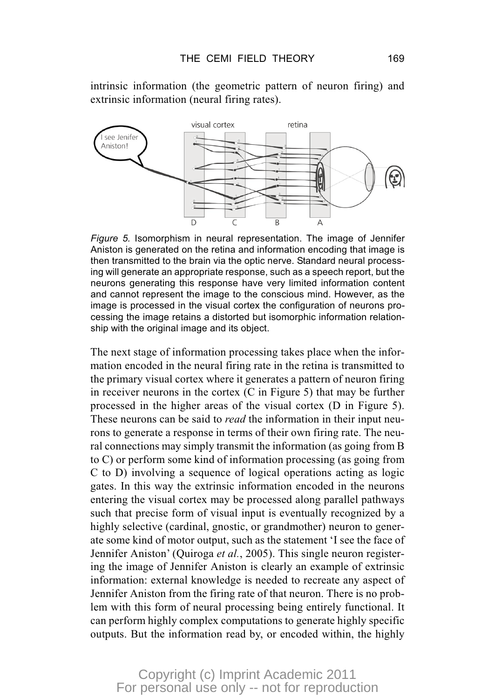intrinsic information (the geometric pattern of neuron firing) and extrinsic information (neural firing rates).



*Figure 5.* Isomorphism in neural representation. The image of Jennifer Aniston is generated on the retina and information encoding that image is then transmitted to the brain via the optic nerve. Standard neural processing will generate an appropriate response, such as a speech report, but the neurons generating this response have very limited information content and cannot represent the image to the conscious mind. However, as the image is processed in the visual cortex the configuration of neurons processing the image retains a distorted but isomorphic information relationship with the original image and its object.

The next stage of information processing takes place when the information encoded in the neural firing rate in the retina is transmitted to the primary visual cortex where it generates a pattern of neuron firing in receiver neurons in the cortex (C in Figure 5) that may be further processed in the higher areas of the visual cortex (D in Figure 5). These neurons can be said to *read* the information in their input neurons to generate a response in terms of their own firing rate. The neural connections may simply transmit the information (as going from B to C) or perform some kind of information processing (as going from C to D) involving a sequence of logical operations acting as logic gates. In this way the extrinsic information encoded in the neurons entering the visual cortex may be processed along parallel pathways such that precise form of visual input is eventually recognized by a highly selective (cardinal, gnostic, or grandmother) neuron to generate some kind of motor output, such as the statement 'I see the face of Jennifer Aniston' (Quiroga *et al.*, 2005). This single neuron registering the image of Jennifer Aniston is clearly an example of extrinsic information: external knowledge is needed to recreate any aspect of Jennifer Aniston from the firing rate of that neuron. There is no problem with this form of neural processing being entirely functional. It can perform highly complex computations to generate highly specific outputs. But the information read by, or encoded within, the highly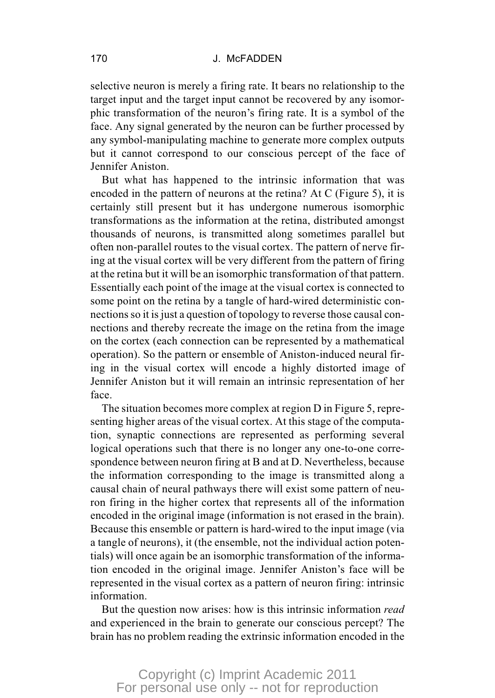#### 170 J. McFADDEN

selective neuron is merely a firing rate. It bears no relationship to the target input and the target input cannot be recovered by any isomorphic transformation of the neuron's firing rate. It is a symbol of the face. Any signal generated by the neuron can be further processed by any symbol-manipulating machine to generate more complex outputs but it cannot correspond to our conscious percept of the face of Jennifer Aniston.

But what has happened to the intrinsic information that was encoded in the pattern of neurons at the retina? At C (Figure 5), it is certainly still present but it has undergone numerous isomorphic transformations as the information at the retina, distributed amongst thousands of neurons, is transmitted along sometimes parallel but often non-parallel routes to the visual cortex. The pattern of nerve firing at the visual cortex will be very different from the pattern of firing at the retina but it will be an isomorphic transformation of that pattern. Essentially each point of the image at the visual cortex is connected to some point on the retina by a tangle of hard-wired deterministic connections so it is just a question of topology to reverse those causal connections and thereby recreate the image on the retina from the image on the cortex (each connection can be represented by a mathematical operation). So the pattern or ensemble of Aniston-induced neural firing in the visual cortex will encode a highly distorted image of Jennifer Aniston but it will remain an intrinsic representation of her face.

The situation becomes more complex at region D in Figure 5, representing higher areas of the visual cortex. At this stage of the computation, synaptic connections are represented as performing several logical operations such that there is no longer any one-to-one correspondence between neuron firing at B and at D. Nevertheless, because the information corresponding to the image is transmitted along a causal chain of neural pathways there will exist some pattern of neuron firing in the higher cortex that represents all of the information encoded in the original image (information is not erased in the brain). Because this ensemble or pattern is hard-wired to the input image (via a tangle of neurons), it (the ensemble, not the individual action potentials) will once again be an isomorphic transformation of the information encoded in the original image. Jennifer Aniston's face will be represented in the visual cortex as a pattern of neuron firing: intrinsic information.

But the question now arises: how is this intrinsic information *read* and experienced in the brain to generate our conscious percept? The brain has no problem reading the extrinsic information encoded in the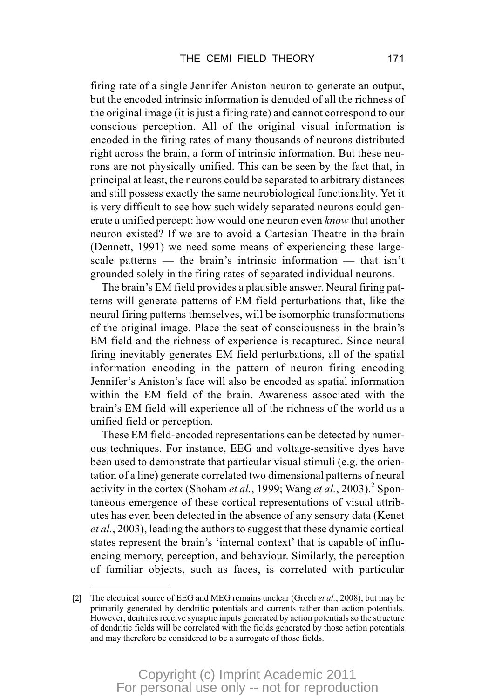firing rate of a single Jennifer Aniston neuron to generate an output, but the encoded intrinsic information is denuded of all the richness of the original image (it is just a firing rate) and cannot correspond to our conscious perception. All of the original visual information is encoded in the firing rates of many thousands of neurons distributed right across the brain, a form of intrinsic information. But these neurons are not physically unified. This can be seen by the fact that, in principal at least, the neurons could be separated to arbitrary distances and still possess exactly the same neurobiological functionality. Yet it is very difficult to see how such widely separated neurons could generate a unified percept: how would one neuron even *know* that another neuron existed? If we are to avoid a Cartesian Theatre in the brain (Dennett, 1991) we need some means of experiencing these largescale patterns — the brain's intrinsic information — that isn't grounded solely in the firing rates of separated individual neurons.

The brain's EM field provides a plausible answer. Neural firing patterns will generate patterns of EM field perturbations that, like the neural firing patterns themselves, will be isomorphic transformations of the original image. Place the seat of consciousness in the brain's EM field and the richness of experience is recaptured. Since neural firing inevitably generates EM field perturbations, all of the spatial information encoding in the pattern of neuron firing encoding Jennifer's Aniston's face will also be encoded as spatial information within the EM field of the brain. Awareness associated with the brain's EM field will experience all of the richness of the world as a unified field or perception.

These EM field-encoded representations can be detected by numerous techniques. For instance, EEG and voltage-sensitive dyes have been used to demonstrate that particular visual stimuli (e.g. the orientation of a line) generate correlated two dimensional patterns of neural activity in the cortex (Shoham *et al.*, 1999; Wang *et al.*, 2003).<sup>2</sup> Spontaneous emergence of these cortical representations of visual attributes has even been detected in the absence of any sensory data (Kenet *et al.*, 2003), leading the authors to suggest that these dynamic cortical states represent the brain's 'internal context' that is capable of influencing memory, perception, and behaviour. Similarly, the perception of familiar objects, such as faces, is correlated with particular

<sup>[2]</sup> The electrical source of EEG and MEG remains unclear (Grech *et al.*, 2008), but may be primarily generated by dendritic potentials and currents rather than action potentials. However, dentrites receive synaptic inputs generated by action potentials so the structure of dendritic fields will be correlated with the fields generated by those action potentials and may therefore be considered to be a surrogate of those fields.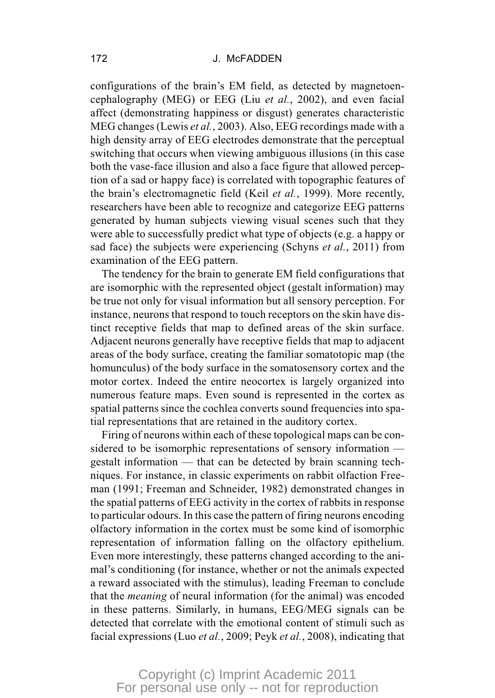configurations of the brain's EM field, as detected by magnetoencephalography (MEG) or EEG (Liu *et al.*, 2002), and even facial affect (demonstrating happiness or disgust) generates characteristic MEG changes (Lewis *et al.*, 2003). Also, EEG recordings made with a high density array of EEG electrodes demonstrate that the perceptual switching that occurs when viewing ambiguous illusions (in this case both the vase-face illusion and also a face figure that allowed perception of a sad or happy face) is correlated with topographic features of the brain's electromagnetic field (Keil *et al.*, 1999). More recently, researchers have been able to recognize and categorize EEG patterns generated by human subjects viewing visual scenes such that they were able to successfully predict what type of objects (e.g. a happy or sad face) the subjects were experiencing (Schyns *et al.*, 2011) from examination of the EEG pattern.

The tendency for the brain to generate EM field configurations that are isomorphic with the represented object (gestalt information) may be true not only for visual information but all sensory perception. For instance, neurons that respond to touch receptors on the skin have distinct receptive fields that map to defined areas of the skin surface. Adjacent neurons generally have receptive fields that map to adjacent areas of the body surface, creating the familiar somatotopic map (the homunculus) of the body surface in the somatosensory cortex and the motor cortex. Indeed the entire neocortex is largely organized into numerous feature maps. Even sound is represented in the cortex as spatial patterns since the cochlea converts sound frequencies into spatial representations that are retained in the auditory cortex.

Firing of neurons within each of these topological maps can be considered to be isomorphic representations of sensory information gestalt information — that can be detected by brain scanning techniques. For instance, in classic experiments on rabbit olfaction Freeman (1991; Freeman and Schneider, 1982) demonstrated changes in the spatial patterns of EEG activity in the cortex of rabbits in response to particular odours. In this case the pattern of firing neurons encoding olfactory information in the cortex must be some kind of isomorphic representation of information falling on the olfactory epithelium. Even more interestingly, these patterns changed according to the animal's conditioning (for instance, whether or not the animals expected a reward associated with the stimulus), leading Freeman to conclude that the *meaning* of neural information (for the animal) was encoded in these patterns. Similarly, in humans, EEG/MEG signals can be detected that correlate with the emotional content of stimuli such as facial expressions (Luo *et al.*, 2009; Peyk *et al.*, 2008), indicating that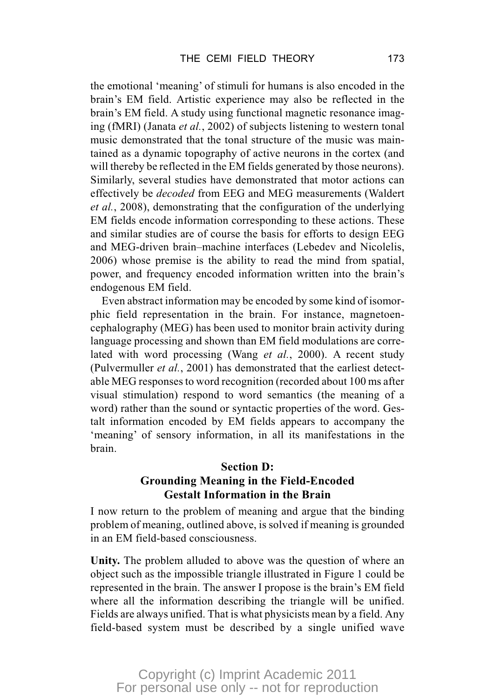the emotional 'meaning' of stimuli for humans is also encoded in the brain's EM field. Artistic experience may also be reflected in the brain's EM field. A study using functional magnetic resonance imaging (fMRI) (Janata *et al.*, 2002) of subjects listening to western tonal music demonstrated that the tonal structure of the music was maintained as a dynamic topography of active neurons in the cortex (and will thereby be reflected in the EM fields generated by those neurons). Similarly, several studies have demonstrated that motor actions can effectively be *decoded* from EEG and MEG measurements (Waldert *et al.*, 2008), demonstrating that the configuration of the underlying EM fields encode information corresponding to these actions. These and similar studies are of course the basis for efforts to design EEG and MEG-driven brain–machine interfaces (Lebedev and Nicolelis, 2006) whose premise is the ability to read the mind from spatial, power, and frequency encoded information written into the brain's endogenous EM field.

Even abstract information may be encoded by some kind of isomorphic field representation in the brain. For instance, magnetoencephalography (MEG) has been used to monitor brain activity during language processing and shown than EM field modulations are correlated with word processing (Wang *et al.*, 2000). A recent study (Pulvermuller *et al.*, 2001) has demonstrated that the earliest detectable MEG responses to word recognition (recorded about 100 ms after visual stimulation) respond to word semantics (the meaning of a word) rather than the sound or syntactic properties of the word. Gestalt information encoded by EM fields appears to accompany the 'meaning' of sensory information, in all its manifestations in the brain.

#### **Section D: Grounding Meaning in the Field-Encoded Gestalt Information in the Brain**

I now return to the problem of meaning and argue that the binding problem of meaning, outlined above, is solved if meaning is grounded in an EM field-based consciousness.

**Unity.** The problem alluded to above was the question of where an object such as the impossible triangle illustrated in Figure 1 could be represented in the brain. The answer I propose is the brain's EM field where all the information describing the triangle will be unified. Fields are always unified. That is what physicists mean by a field. Any field-based system must be described by a single unified wave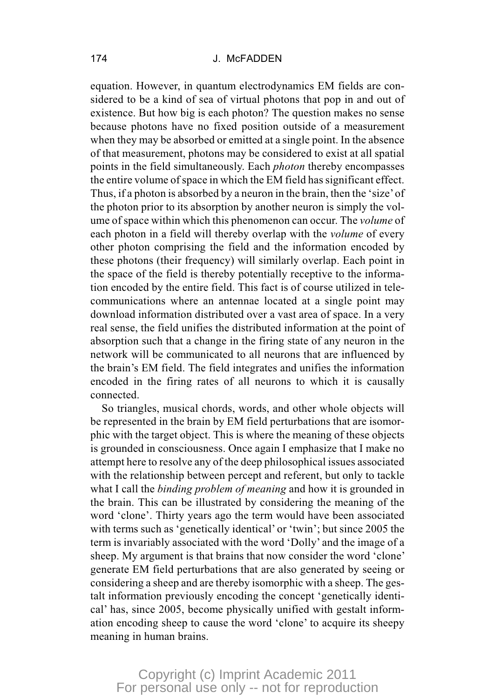equation. However, in quantum electrodynamics EM fields are considered to be a kind of sea of virtual photons that pop in and out of existence. But how big is each photon? The question makes no sense because photons have no fixed position outside of a measurement when they may be absorbed or emitted at a single point. In the absence of that measurement, photons may be considered to exist at all spatial points in the field simultaneously. Each *photon* thereby encompasses the entire volume of space in which the EM field has significant effect. Thus, if a photon is absorbed by a neuron in the brain, then the 'size'of the photon prior to its absorption by another neuron is simply the volume of space within which this phenomenon can occur. The *volume* of each photon in a field will thereby overlap with the *volume* of every other photon comprising the field and the information encoded by these photons (their frequency) will similarly overlap. Each point in the space of the field is thereby potentially receptive to the information encoded by the entire field. This fact is of course utilized in telecommunications where an antennae located at a single point may download information distributed over a vast area of space. In a very real sense, the field unifies the distributed information at the point of absorption such that a change in the firing state of any neuron in the network will be communicated to all neurons that are influenced by the brain's EM field. The field integrates and unifies the information encoded in the firing rates of all neurons to which it is causally connected.

So triangles, musical chords, words, and other whole objects will be represented in the brain by EM field perturbations that are isomorphic with the target object. This is where the meaning of these objects is grounded in consciousness. Once again I emphasize that I make no attempt here to resolve any of the deep philosophical issues associated with the relationship between percept and referent, but only to tackle what I call the *binding problem of meaning* and how it is grounded in the brain. This can be illustrated by considering the meaning of the word 'clone'. Thirty years ago the term would have been associated with terms such as 'genetically identical' or 'twin'; but since 2005 the term is invariably associated with the word 'Dolly' and the image of a sheep. My argument is that brains that now consider the word 'clone' generate EM field perturbations that are also generated by seeing or considering a sheep and are thereby isomorphic with a sheep. The gestalt information previously encoding the concept 'genetically identical' has, since 2005, become physically unified with gestalt information encoding sheep to cause the word 'clone' to acquire its sheepy meaning in human brains.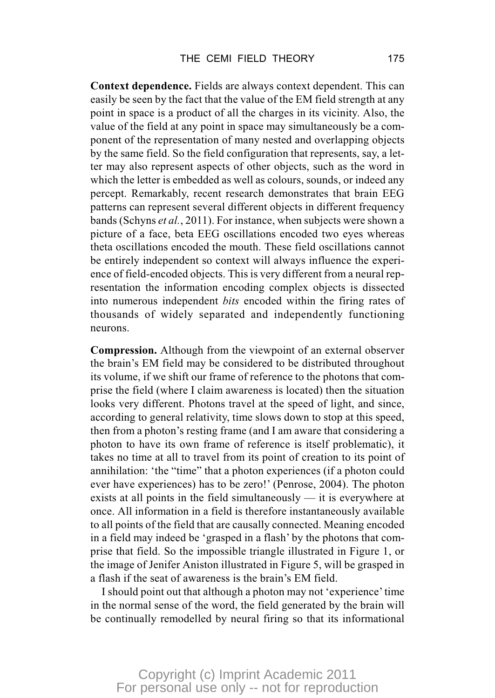**Context dependence.** Fields are always context dependent. This can easily be seen by the fact that the value of the EM field strength at any point in space is a product of all the charges in its vicinity. Also, the value of the field at any point in space may simultaneously be a component of the representation of many nested and overlapping objects by the same field. So the field configuration that represents, say, a letter may also represent aspects of other objects, such as the word in which the letter is embedded as well as colours, sounds, or indeed any percept. Remarkably, recent research demonstrates that brain EEG patterns can represent several different objects in different frequency bands (Schyns *et al.*, 2011). For instance, when subjects were shown a picture of a face, beta EEG oscillations encoded two eyes whereas theta oscillations encoded the mouth. These field oscillations cannot be entirely independent so context will always influence the experience of field-encoded objects. This is very different from a neural representation the information encoding complex objects is dissected into numerous independent *bits* encoded within the firing rates of thousands of widely separated and independently functioning neurons.

**Compression.** Although from the viewpoint of an external observer the brain's EM field may be considered to be distributed throughout its volume, if we shift our frame of reference to the photons that comprise the field (where I claim awareness is located) then the situation looks very different. Photons travel at the speed of light, and since, according to general relativity, time slows down to stop at this speed, then from a photon's resting frame (and I am aware that considering a photon to have its own frame of reference is itself problematic), it takes no time at all to travel from its point of creation to its point of annihilation: 'the "time" that a photon experiences (if a photon could ever have experiences) has to be zero!' (Penrose, 2004). The photon exists at all points in the field simultaneously — it is everywhere at once. All information in a field is therefore instantaneously available to all points of the field that are causally connected. Meaning encoded in a field may indeed be 'grasped in a flash' by the photons that comprise that field. So the impossible triangle illustrated in Figure 1, or the image of Jenifer Aniston illustrated in Figure 5, will be grasped in a flash if the seat of awareness is the brain's EM field.

I should point out that although a photon may not 'experience' time in the normal sense of the word, the field generated by the brain will be continually remodelled by neural firing so that its informational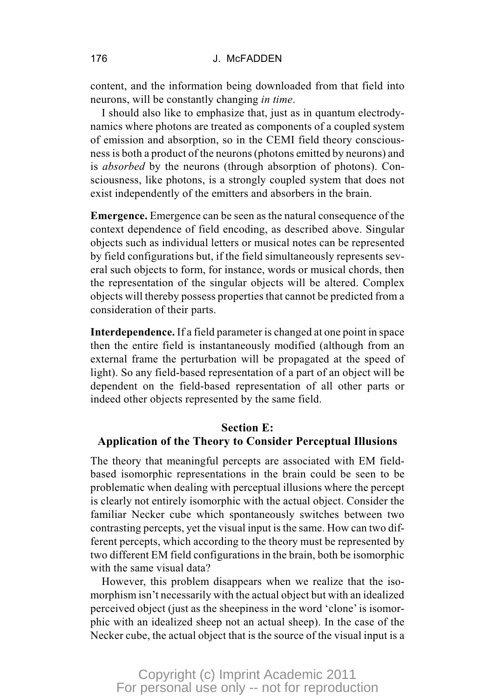content, and the information being downloaded from that field into neurons, will be constantly changing *in time*.

I should also like to emphasize that, just as in quantum electrodynamics where photons are treated as components of a coupled system of emission and absorption, so in the CEMI field theory consciousness is both a product of the neurons (photons emitted by neurons) and is *absorbed* by the neurons (through absorption of photons). Consciousness, like photons, is a strongly coupled system that does not exist independently of the emitters and absorbers in the brain.

**Emergence.** Emergence can be seen as the natural consequence of the context dependence of field encoding, as described above. Singular objects such as individual letters or musical notes can be represented by field configurations but, if the field simultaneously represents several such objects to form, for instance, words or musical chords, then the representation of the singular objects will be altered. Complex objects will thereby possess properties that cannot be predicted from a consideration of their parts.

**Interdependence.** If a field parameter is changed at one point in space then the entire field is instantaneously modified (although from an external frame the perturbation will be propagated at the speed of light). So any field-based representation of a part of an object will be dependent on the field-based representation of all other parts or indeed other objects represented by the same field.

#### **Section E: Application of the Theory to Consider Perceptual Illusions**

The theory that meaningful percepts are associated with EM fieldbased isomorphic representations in the brain could be seen to be problematic when dealing with perceptual illusions where the percept is clearly not entirely isomorphic with the actual object. Consider the familiar Necker cube which spontaneously switches between two contrasting percepts, yet the visual input is the same. How can two different percepts, which according to the theory must be represented by two different EM field configurations in the brain, both be isomorphic with the same visual data?

However, this problem disappears when we realize that the isomorphism isn't necessarily with the actual object but with an idealized perceived object (just as the sheepiness in the word 'clone' is isomorphic with an idealized sheep not an actual sheep). In the case of the Necker cube, the actual object that is the source of the visual input is a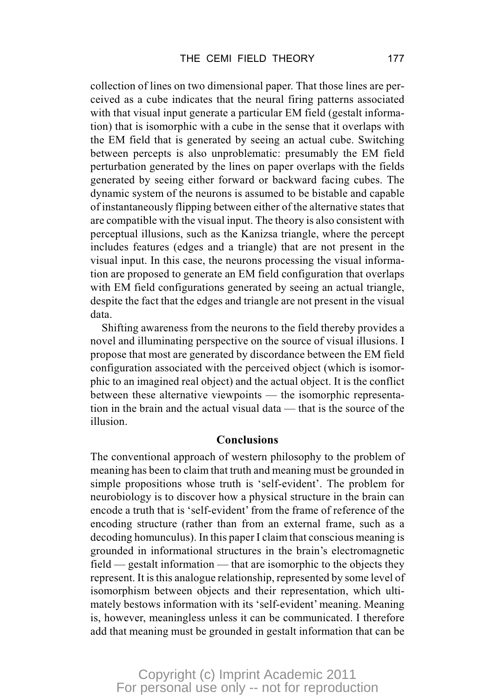collection of lines on two dimensional paper. That those lines are perceived as a cube indicates that the neural firing patterns associated with that visual input generate a particular EM field (gestalt information) that is isomorphic with a cube in the sense that it overlaps with the EM field that is generated by seeing an actual cube. Switching between percepts is also unproblematic: presumably the EM field perturbation generated by the lines on paper overlaps with the fields generated by seeing either forward or backward facing cubes. The dynamic system of the neurons is assumed to be bistable and capable of instantaneously flipping between either of the alternative states that are compatible with the visual input. The theory is also consistent with perceptual illusions, such as the Kanizsa triangle, where the percept includes features (edges and a triangle) that are not present in the visual input. In this case, the neurons processing the visual information are proposed to generate an EM field configuration that overlaps with EM field configurations generated by seeing an actual triangle, despite the fact that the edges and triangle are not present in the visual data.

Shifting awareness from the neurons to the field thereby provides a novel and illuminating perspective on the source of visual illusions. I propose that most are generated by discordance between the EM field configuration associated with the perceived object (which is isomorphic to an imagined real object) and the actual object. It is the conflict between these alternative viewpoints — the isomorphic representation in the brain and the actual visual data — that is the source of the illusion.

#### **Conclusions**

The conventional approach of western philosophy to the problem of meaning has been to claim that truth and meaning must be grounded in simple propositions whose truth is 'self-evident'. The problem for neurobiology is to discover how a physical structure in the brain can encode a truth that is 'self-evident' from the frame of reference of the encoding structure (rather than from an external frame, such as a decoding homunculus). In this paper I claim that conscious meaning is grounded in informational structures in the brain's electromagnetic field — gestalt information — that are isomorphic to the objects they represent. It is this analogue relationship, represented by some level of isomorphism between objects and their representation, which ultimately bestows information with its 'self-evident' meaning. Meaning is, however, meaningless unless it can be communicated. I therefore add that meaning must be grounded in gestalt information that can be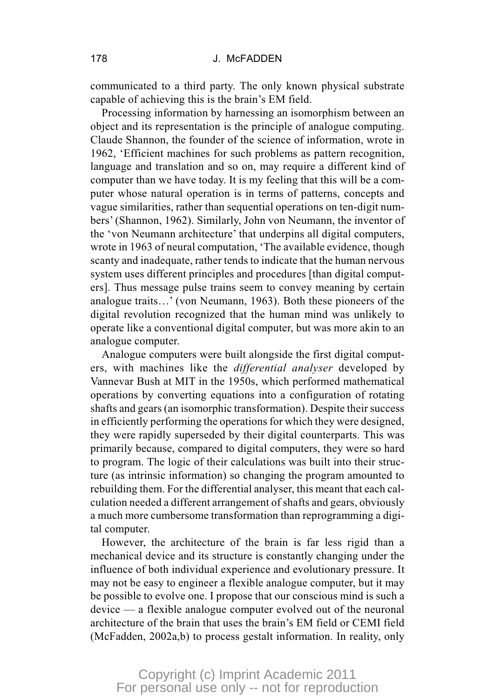communicated to a third party. The only known physical substrate capable of achieving this is the brain's EM field.

Processing information by harnessing an isomorphism between an object and its representation is the principle of analogue computing. Claude Shannon, the founder of the science of information, wrote in 1962, 'Efficient machines for such problems as pattern recognition, language and translation and so on, may require a different kind of computer than we have today. It is my feeling that this will be a computer whose natural operation is in terms of patterns, concepts and vague similarities, rather than sequential operations on ten-digit numbers' (Shannon, 1962). Similarly, John von Neumann, the inventor of the 'von Neumann architecture' that underpins all digital computers, wrote in 1963 of neural computation, 'The available evidence, though scanty and inadequate, rather tends to indicate that the human nervous system uses different principles and procedures [than digital computers]. Thus message pulse trains seem to convey meaning by certain analogue traits…' (von Neumann, 1963). Both these pioneers of the digital revolution recognized that the human mind was unlikely to operate like a conventional digital computer, but was more akin to an analogue computer.

Analogue computers were built alongside the first digital computers, with machines like the *differential analyser* developed by Vannevar Bush at MIT in the 1950s, which performed mathematical operations by converting equations into a configuration of rotating shafts and gears (an isomorphic transformation). Despite their success in efficiently performing the operations for which they were designed, they were rapidly superseded by their digital counterparts. This was primarily because, compared to digital computers, they were so hard to program. The logic of their calculations was built into their structure (as intrinsic information) so changing the program amounted to rebuilding them. For the differential analyser, this meant that each calculation needed a different arrangement of shafts and gears, obviously a much more cumbersome transformation than reprogramming a digital computer.

However, the architecture of the brain is far less rigid than a mechanical device and its structure is constantly changing under the influence of both individual experience and evolutionary pressure. It may not be easy to engineer a flexible analogue computer, but it may be possible to evolve one. I propose that our conscious mind is such a device — a flexible analogue computer evolved out of the neuronal architecture of the brain that uses the brain's EM field or CEMI field (McFadden, 2002a,b) to process gestalt information. In reality, only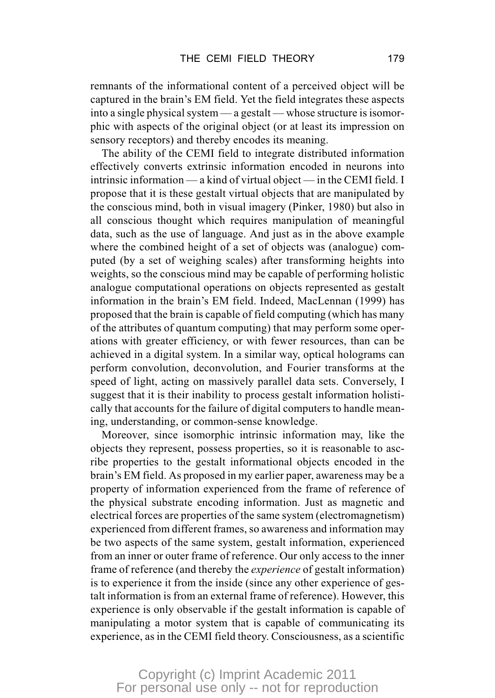remnants of the informational content of a perceived object will be captured in the brain's EM field. Yet the field integrates these aspects into a single physical system — a gestalt — whose structure is isomorphic with aspects of the original object (or at least its impression on sensory receptors) and thereby encodes its meaning.

The ability of the CEMI field to integrate distributed information effectively converts extrinsic information encoded in neurons into intrinsic information — a kind of virtual object — in the CEMI field. I propose that it is these gestalt virtual objects that are manipulated by the conscious mind, both in visual imagery (Pinker, 1980) but also in all conscious thought which requires manipulation of meaningful data, such as the use of language. And just as in the above example where the combined height of a set of objects was (analogue) computed (by a set of weighing scales) after transforming heights into weights, so the conscious mind may be capable of performing holistic analogue computational operations on objects represented as gestalt information in the brain's EM field. Indeed, MacLennan (1999) has proposed that the brain is capable of field computing (which has many of the attributes of quantum computing) that may perform some operations with greater efficiency, or with fewer resources, than can be achieved in a digital system. In a similar way, optical holograms can perform convolution, deconvolution, and Fourier transforms at the speed of light, acting on massively parallel data sets. Conversely, I suggest that it is their inability to process gestalt information holistically that accounts for the failure of digital computers to handle meaning, understanding, or common-sense knowledge.

Moreover, since isomorphic intrinsic information may, like the objects they represent, possess properties, so it is reasonable to ascribe properties to the gestalt informational objects encoded in the brain's EM field. As proposed in my earlier paper, awareness may be a property of information experienced from the frame of reference of the physical substrate encoding information. Just as magnetic and electrical forces are properties of the same system (electromagnetism) experienced from different frames, so awareness and information may be two aspects of the same system, gestalt information, experienced from an inner or outer frame of reference. Our only access to the inner frame of reference (and thereby the *experience* of gestalt information) is to experience it from the inside (since any other experience of gestalt information is from an external frame of reference). However, this experience is only observable if the gestalt information is capable of manipulating a motor system that is capable of communicating its experience, as in the CEMI field theory. Consciousness, as a scientific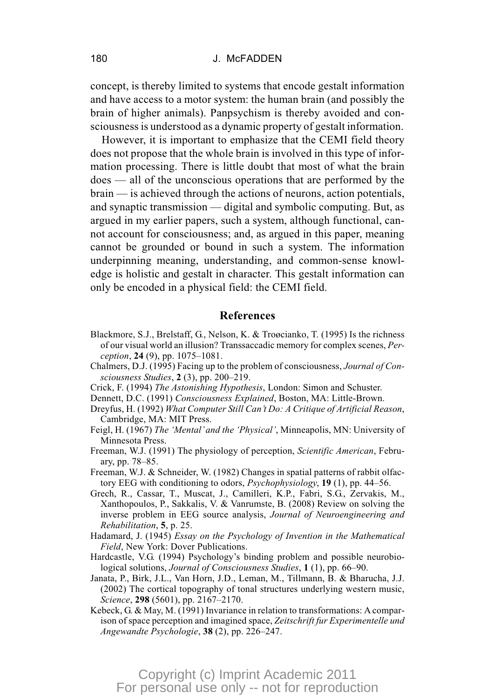concept, is thereby limited to systems that encode gestalt information and have access to a motor system: the human brain (and possibly the brain of higher animals). Panpsychism is thereby avoided and consciousness is understood as a dynamic property of gestalt information.

However, it is important to emphasize that the CEMI field theory does not propose that the whole brain is involved in this type of information processing. There is little doubt that most of what the brain does — all of the unconscious operations that are performed by the brain — is achieved through the actions of neurons, action potentials, and synaptic transmission — digital and symbolic computing. But, as argued in my earlier papers, such a system, although functional, cannot account for consciousness; and, as argued in this paper, meaning cannot be grounded or bound in such a system. The information underpinning meaning, understanding, and common-sense knowledge is holistic and gestalt in character. This gestalt information can only be encoded in a physical field: the CEMI field.

#### **References**

- Blackmore, S.J., Brelstaff, G., Nelson, K. & Troøcianko, T. (1995) Is the richness of our visual world an illusion? Transsaccadic memory for complex scenes, *Perception*, **24** (9), pp. 1075–1081.
- Chalmers, D.J. (1995) Facing up to the problem of consciousness, *Journal of Consciousness Studies*, **2** (3), pp. 200–219.
- Crick, F. (1994) *The Astonishing Hypothesis*, London: Simon and Schuster.
- Dennett, D.C. (1991) *Consciousness Explained*, Boston, MA: Little-Brown.
- Dreyfus, H. (1992) *What Computer Still Can't Do: A Critique of Artificial Reason*, Cambridge, MA: MIT Press.
- Feigl, H. (1967) *The 'Mental'and the 'Physical'*, Minneapolis, MN: University of Minnesota Press.
- Freeman, W.J. (1991) The physiology of perception, *Scientific American*, February, pp. 78–85.
- Freeman, W.J. & Schneider, W. (1982) Changes in spatial patterns of rabbit olfactory EEG with conditioning to odors, *Psychophysiology*, **19** (1), pp. 44–56.
- Grech, R., Cassar, T., Muscat, J., Camilleri, K.P., Fabri, S.G., Zervakis, M., Xanthopoulos, P., Sakkalis, V. & Vanrumste, B. (2008) Review on solving the inverse problem in EEG source analysis, *Journal of Neuroengineering and Rehabilitation*, **5**, p. 25.
- Hadamard, J. (1945) *Essay on the Psychology of Invention in the Mathematical Field*, New York: Dover Publications.
- Hardcastle, V.G. (1994) Psychology's binding problem and possible neurobiological solutions, *Journal of Consciousness Studies*, **1** (1), pp. 66–90.
- Janata, P., Birk, J.L., Van Horn, J.D., Leman, M., Tillmann, B. & Bharucha, J.J. (2002) The cortical topography of tonal structures underlying western music, *Science*, **298** (5601), pp. 2167–2170.
- Kebeck, G. & May, M. (1991) Invariance in relation to transformations: A comparison of space perception and imagined space, *Zeitschrift fur Experimentelle und Angewandte Psychologie*, **38** (2), pp. 226–247.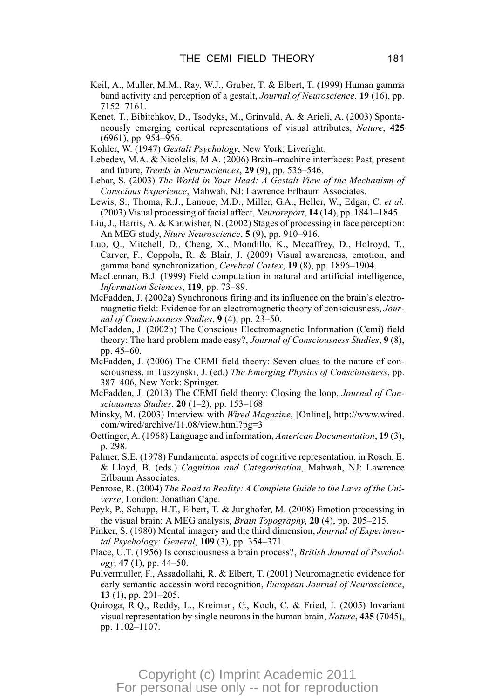- Keil, A., Muller, M.M., Ray, W.J., Gruber, T. & Elbert, T. (1999) Human gamma band activity and perception of a gestalt, *Journal of Neuroscience*, **19** (16), pp. 7152–7161.
- Kenet, T., Bibitchkov, D., Tsodyks, M., Grinvald, A. & Arieli, A. (2003) Spontaneously emerging cortical representations of visual attributes, *Nature*, **425** (6961), pp. 954–956.
- Kohler, W. (1947) *Gestalt Psychology*, New York: Liveright.
- Lebedev, M.A. & Nicolelis, M.A. (2006) Brain–machine interfaces: Past, present and future, *Trends in Neurosciences*, **29** (9), pp. 536–546.
- Lehar, S. (2003) *The World in Your Head: A Gestalt View of the Mechanism of Conscious Experience*, Mahwah, NJ: Lawrence Erlbaum Associates.
- Lewis, S., Thoma, R.J., Lanoue, M.D., Miller, G.A., Heller, W., Edgar, C. *et al.* (2003) Visual processing of facial affect, *Neuroreport*, **14** (14), pp. 1841–1845.
- Liu, J., Harris, A. & Kanwisher, N. (2002) Stages of processing in face perception: An MEG study, *Nture Neuroscience*, **5** (9), pp. 910–916.
- Luo, Q., Mitchell, D., Cheng, X., Mondillo, K., Mccaffrey, D., Holroyd, T., Carver, F., Coppola, R. & Blair, J. (2009) Visual awareness, emotion, and gamma band synchronization, *Cerebral Cortex*, **19** (8), pp. 1896–1904.
- MacLennan, B.J. (1999) Field computation in natural and artificial intelligence, *Information Sciences*, **119**, pp. 73–89.
- McFadden, J. (2002a) Synchronous firing and its influence on the brain's electromagnetic field: Evidence for an electromagnetic theory of consciousness, *Journal of Consciousness Studies*, **9** (4), pp. 23–50.
- McFadden, J. (2002b) The Conscious Electromagnetic Information (Cemi) field theory: The hard problem made easy?, *Journal of Consciousness Studies*, **9** (8), pp. 45–60.
- McFadden, J. (2006) The CEMI field theory: Seven clues to the nature of consciousness, in Tuszynski, J. (ed.) *The Emerging Physics of Consciousness*, pp. 387–406, New York: Springer.
- McFadden, J. (2013) The CEMI field theory: Closing the loop, *Journal of Consciousness Studies*, **20** (1–2), pp. 153–168.
- Minsky, M. (2003) Interview with *Wired Magazine*, [Online], http://www.wired. com/wired/archive/11.08/view.html?pg=3
- Oettinger, A. (1968) Language and information, *American Documentation*, **19** (3), p. 298.
- Palmer, S.E. (1978) Fundamental aspects of cognitive representation, in Rosch, E. & Lloyd, B. (eds.) *Cognition and Categorisation*, Mahwah, NJ: Lawrence Erlbaum Associates.
- Penrose, R. (2004) *The Road to Reality: A Complete Guide to the Laws of the Universe*, London: Jonathan Cape.
- Peyk, P., Schupp, H.T., Elbert, T. & Junghofer, M. (2008) Emotion processing in the visual brain: A MEG analysis, *Brain Topography*, **20** (4), pp. 205–215.
- Pinker, S. (1980) Mental imagery and the third dimension, *Journal of Experimental Psychology: General*, **109** (3), pp. 354–371.
- Place, U.T. (1956) Is consciousness a brain process?, *British Journal of Psychology*, **47** (1), pp. 44–50.
- Pulvermuller, F., Assadollahi, R. & Elbert, T. (2001) Neuromagnetic evidence for early semantic accessin word recognition, *European Journal of Neuroscience*, **13** (1), pp. 201–205.
- Quiroga, R.Q., Reddy, L., Kreiman, G., Koch, C. & Fried, I. (2005) Invariant visual representation by single neurons in the human brain, *Nature*, **435** (7045), pp. 1102–1107.